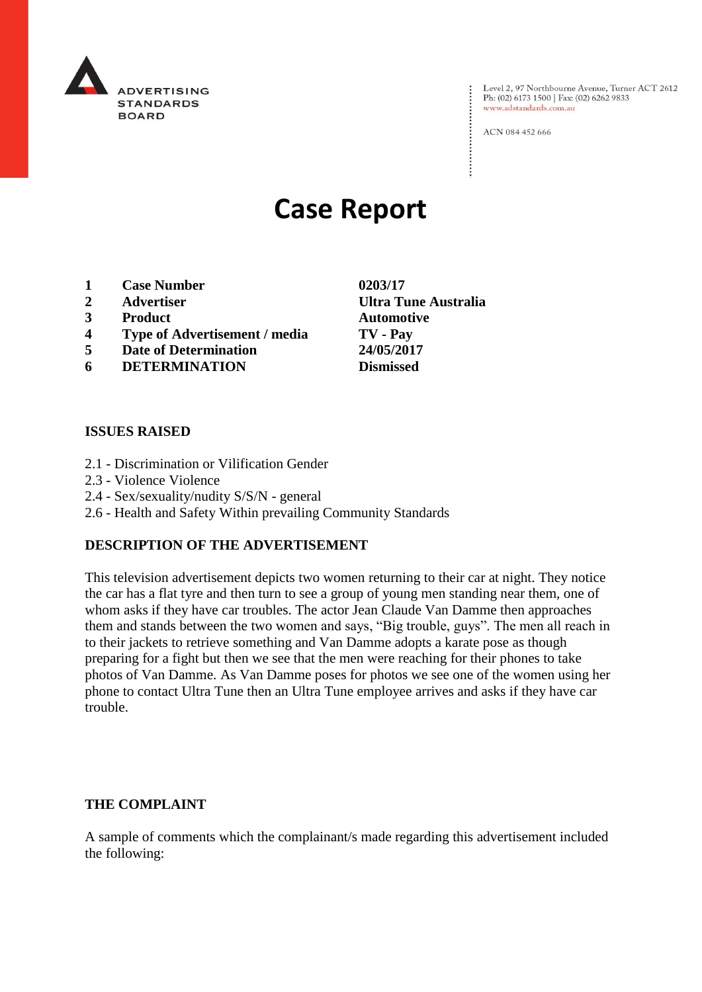

Level 2, 97 Northbourne Avenue, Turner ACT 2612<br>Ph: (02) 6173 1500 | Fax: (02) 6262 9833 www.adstandards.com.au

ACN 084 452 666

# **Case Report**

- **1 Case Number 0203/17**
- 
- **3 Product Automotive**
- **4 Type of Advertisement / media TV - Pay**
- **5 Date of Determination 24/05/2017**
- **6 DETERMINATION Dismissed**

## **ISSUES RAISED**

- 2.1 Discrimination or Vilification Gender
- 2.3 Violence Violence
- 2.4 Sex/sexuality/nudity S/S/N general
- 2.6 Health and Safety Within prevailing Community Standards

## **DESCRIPTION OF THE ADVERTISEMENT**

This television advertisement depicts two women returning to their car at night. They notice the car has a flat tyre and then turn to see a group of young men standing near them, one of whom asks if they have car troubles. The actor Jean Claude Van Damme then approaches them and stands between the two women and says, "Big trouble, guys". The men all reach in to their jackets to retrieve something and Van Damme adopts a karate pose as though preparing for a fight but then we see that the men were reaching for their phones to take photos of Van Damme. As Van Damme poses for photos we see one of the women using her phone to contact Ultra Tune then an Ultra Tune employee arrives and asks if they have car trouble.

#### **THE COMPLAINT**

A sample of comments which the complainant/s made regarding this advertisement included the following:

**2 Advertiser Ultra Tune Australia**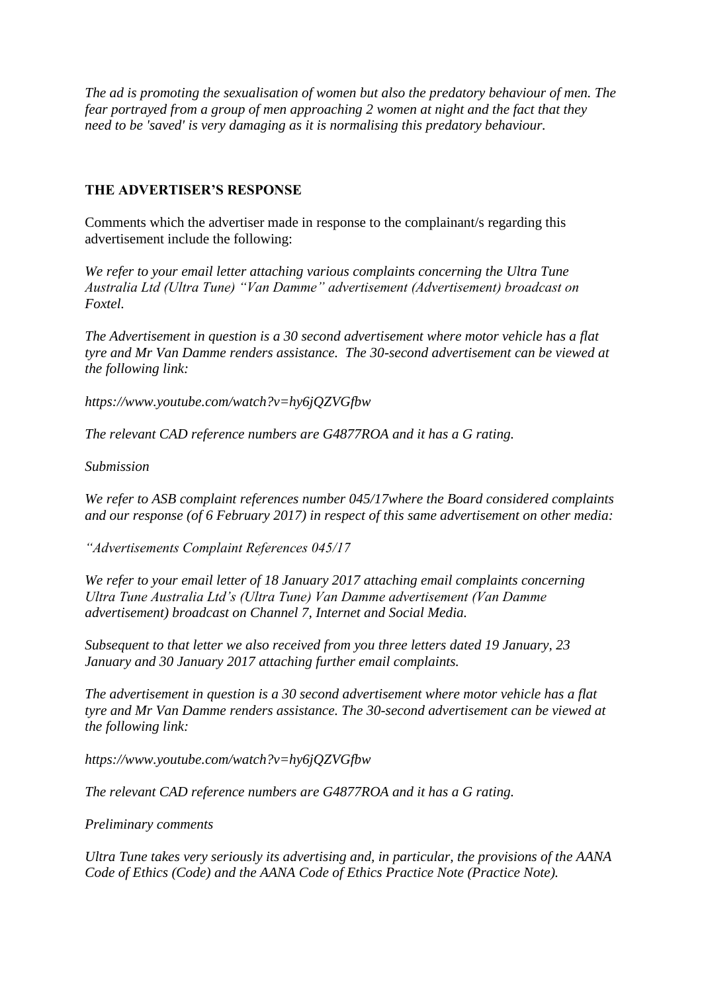*The ad is promoting the sexualisation of women but also the predatory behaviour of men. The fear portrayed from a group of men approaching 2 women at night and the fact that they need to be 'saved' is very damaging as it is normalising this predatory behaviour.*

## **THE ADVERTISER'S RESPONSE**

Comments which the advertiser made in response to the complainant/s regarding this advertisement include the following:

*We refer to your email letter attaching various complaints concerning the Ultra Tune Australia Ltd (Ultra Tune) "Van Damme" advertisement (Advertisement) broadcast on Foxtel.*

*The Advertisement in question is a 30 second advertisement where motor vehicle has a flat tyre and Mr Van Damme renders assistance. The 30-second advertisement can be viewed at the following link:*

*https://www.youtube.com/watch?v=hy6jQZVGfbw*

*The relevant CAD reference numbers are G4877ROA and it has a G rating.*

*Submission*

*We refer to ASB complaint references number 045/17where the Board considered complaints and our response (of 6 February 2017) in respect of this same advertisement on other media:*

*"Advertisements Complaint References 045/17*

*We refer to your email letter of 18 January 2017 attaching email complaints concerning Ultra Tune Australia Ltd's (Ultra Tune) Van Damme advertisement (Van Damme advertisement) broadcast on Channel 7, Internet and Social Media.*

*Subsequent to that letter we also received from you three letters dated 19 January, 23 January and 30 January 2017 attaching further email complaints.*

*The advertisement in question is a 30 second advertisement where motor vehicle has a flat tyre and Mr Van Damme renders assistance. The 30-second advertisement can be viewed at the following link:*

*https://www.youtube.com/watch?v=hy6jQZVGfbw*

*The relevant CAD reference numbers are G4877ROA and it has a G rating.*

*Preliminary comments*

*Ultra Tune takes very seriously its advertising and, in particular, the provisions of the AANA Code of Ethics (Code) and the AANA Code of Ethics Practice Note (Practice Note).*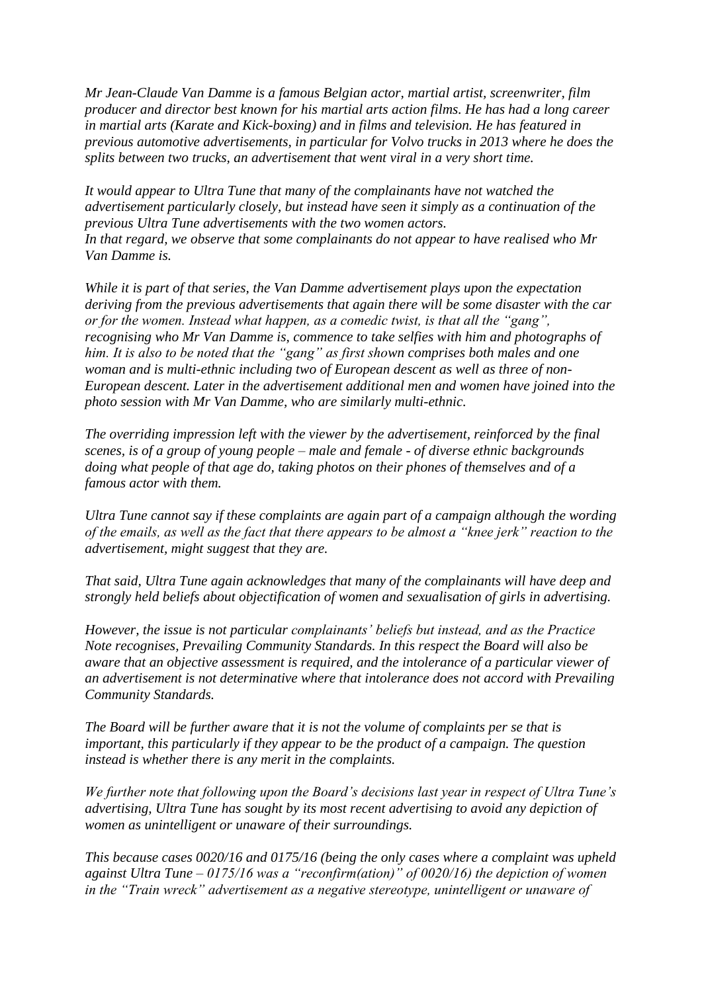*Mr Jean-Claude Van Damme is a famous Belgian actor, martial artist, screenwriter, film producer and director best known for his martial arts action films. He has had a long career in martial arts (Karate and Kick-boxing) and in films and television. He has featured in previous automotive advertisements, in particular for Volvo trucks in 2013 where he does the splits between two trucks, an advertisement that went viral in a very short time.*

*It would appear to Ultra Tune that many of the complainants have not watched the advertisement particularly closely, but instead have seen it simply as a continuation of the previous Ultra Tune advertisements with the two women actors. In that regard, we observe that some complainants do not appear to have realised who Mr Van Damme is.*

*While it is part of that series, the Van Damme advertisement plays upon the expectation deriving from the previous advertisements that again there will be some disaster with the car or for the women. Instead what happen, as a comedic twist, is that all the "gang", recognising who Mr Van Damme is, commence to take selfies with him and photographs of him. It is also to be noted that the "gang" as first shown comprises both males and one woman and is multi-ethnic including two of European descent as well as three of non-European descent. Later in the advertisement additional men and women have joined into the photo session with Mr Van Damme, who are similarly multi-ethnic.*

*The overriding impression left with the viewer by the advertisement, reinforced by the final scenes, is of a group of young people – male and female - of diverse ethnic backgrounds doing what people of that age do, taking photos on their phones of themselves and of a famous actor with them.*

*Ultra Tune cannot say if these complaints are again part of a campaign although the wording of the emails, as well as the fact that there appears to be almost a "knee jerk" reaction to the advertisement, might suggest that they are.*

*That said, Ultra Tune again acknowledges that many of the complainants will have deep and strongly held beliefs about objectification of women and sexualisation of girls in advertising.*

*However, the issue is not particular complainants' beliefs but instead, and as the Practice Note recognises, Prevailing Community Standards. In this respect the Board will also be aware that an objective assessment is required, and the intolerance of a particular viewer of an advertisement is not determinative where that intolerance does not accord with Prevailing Community Standards.*

*The Board will be further aware that it is not the volume of complaints per se that is important, this particularly if they appear to be the product of a campaign. The question instead is whether there is any merit in the complaints.*

*We further note that following upon the Board's decisions last year in respect of Ultra Tune's advertising, Ultra Tune has sought by its most recent advertising to avoid any depiction of women as unintelligent or unaware of their surroundings.*

*This because cases 0020/16 and 0175/16 (being the only cases where a complaint was upheld against Ultra Tune – 0175/16 was a "reconfirm(ation)" of 0020/16) the depiction of women in the "Train wreck" advertisement as a negative stereotype, unintelligent or unaware of*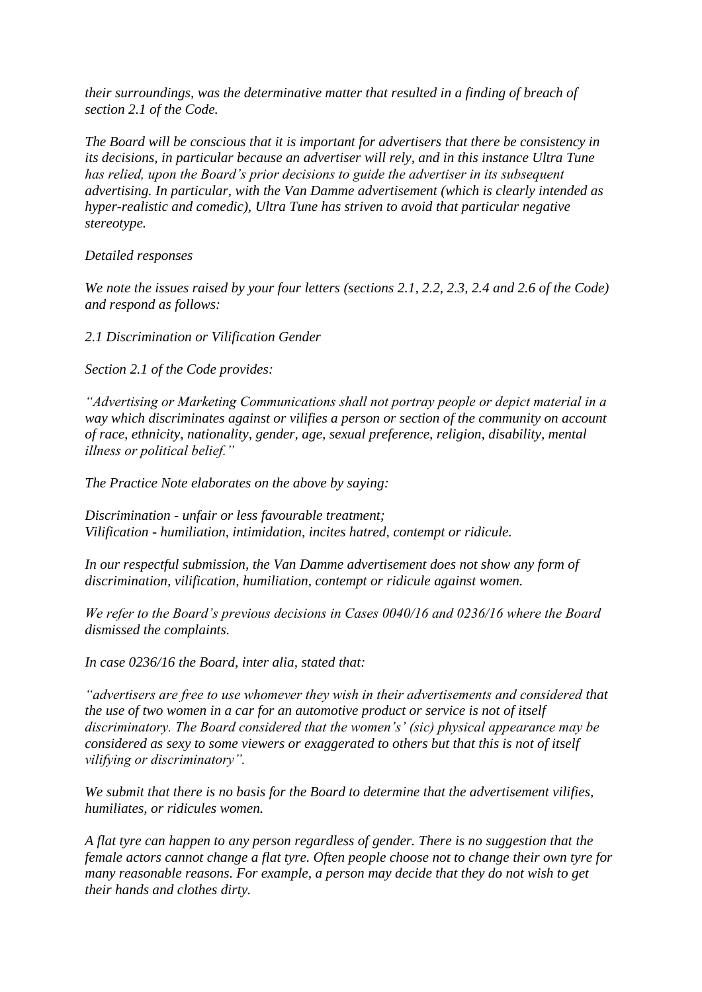*their surroundings, was the determinative matter that resulted in a finding of breach of section 2.1 of the Code.*

*The Board will be conscious that it is important for advertisers that there be consistency in its decisions, in particular because an advertiser will rely, and in this instance Ultra Tune has relied, upon the Board's prior decisions to guide the advertiser in its subsequent advertising. In particular, with the Van Damme advertisement (which is clearly intended as hyper-realistic and comedic), Ultra Tune has striven to avoid that particular negative stereotype.*

# *Detailed responses*

*We note the issues raised by your four letters (sections 2.1, 2.2, 2.3, 2.4 and 2.6 of the Code) and respond as follows:*

*2.1 Discrimination or Vilification Gender*

*Section 2.1 of the Code provides:*

*"Advertising or Marketing Communications shall not portray people or depict material in a way which discriminates against or vilifies a person or section of the community on account of race, ethnicity, nationality, gender, age, sexual preference, religion, disability, mental illness or political belief."*

*The Practice Note elaborates on the above by saying:*

*Discrimination - unfair or less favourable treatment; Vilification - humiliation, intimidation, incites hatred, contempt or ridicule.*

In our respectful submission, the Van Damme advertisement does not show any form of *discrimination, vilification, humiliation, contempt or ridicule against women.*

*We refer to the Board's previous decisions in Cases 0040/16 and 0236/16 where the Board dismissed the complaints.*

*In case 0236/16 the Board, inter alia, stated that:*

*"advertisers are free to use whomever they wish in their advertisements and considered that the use of two women in a car for an automotive product or service is not of itself discriminatory. The Board considered that the women's' (sic) physical appearance may be considered as sexy to some viewers or exaggerated to others but that this is not of itself vilifying or discriminatory".*

*We submit that there is no basis for the Board to determine that the advertisement vilifies, humiliates, or ridicules women.*

*A flat tyre can happen to any person regardless of gender. There is no suggestion that the female actors cannot change a flat tyre. Often people choose not to change their own tyre for many reasonable reasons. For example, a person may decide that they do not wish to get their hands and clothes dirty.*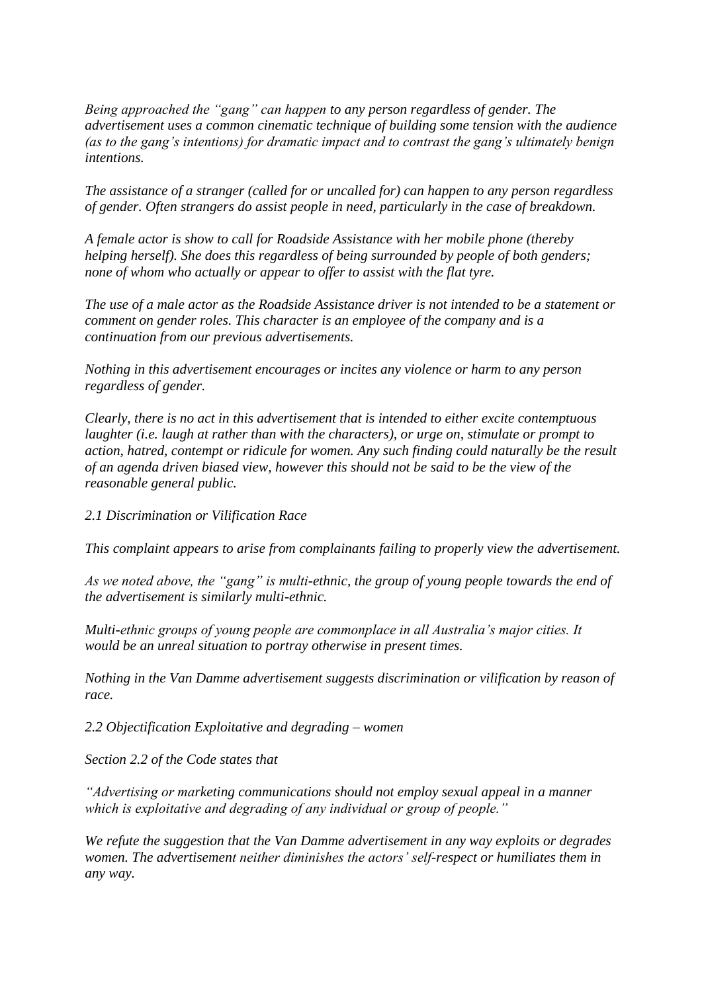*Being approached the "gang" can happen to any person regardless of gender. The advertisement uses a common cinematic technique of building some tension with the audience (as to the gang's intentions) for dramatic impact and to contrast the gang's ultimately benign intentions.*

*The assistance of a stranger (called for or uncalled for) can happen to any person regardless of gender. Often strangers do assist people in need, particularly in the case of breakdown.*

*A female actor is show to call for Roadside Assistance with her mobile phone (thereby helping herself). She does this regardless of being surrounded by people of both genders; none of whom who actually or appear to offer to assist with the flat tyre.*

*The use of a male actor as the Roadside Assistance driver is not intended to be a statement or comment on gender roles. This character is an employee of the company and is a continuation from our previous advertisements.*

*Nothing in this advertisement encourages or incites any violence or harm to any person regardless of gender.*

*Clearly, there is no act in this advertisement that is intended to either excite contemptuous laughter (i.e. laugh at rather than with the characters), or urge on, stimulate or prompt to action, hatred, contempt or ridicule for women. Any such finding could naturally be the result of an agenda driven biased view, however this should not be said to be the view of the reasonable general public.*

*2.1 Discrimination or Vilification Race*

*This complaint appears to arise from complainants failing to properly view the advertisement.*

*As we noted above, the "gang" is multi-ethnic, the group of young people towards the end of the advertisement is similarly multi-ethnic.*

*Multi-ethnic groups of young people are commonplace in all Australia's major cities. It would be an unreal situation to portray otherwise in present times.*

*Nothing in the Van Damme advertisement suggests discrimination or vilification by reason of race.*

*2.2 Objectification Exploitative and degrading – women*

*Section 2.2 of the Code states that*

*"Advertising or marketing communications should not employ sexual appeal in a manner which is exploitative and degrading of any individual or group of people."*

*We refute the suggestion that the Van Damme advertisement in any way exploits or degrades women. The advertisement neither diminishes the actors' self-respect or humiliates them in any way.*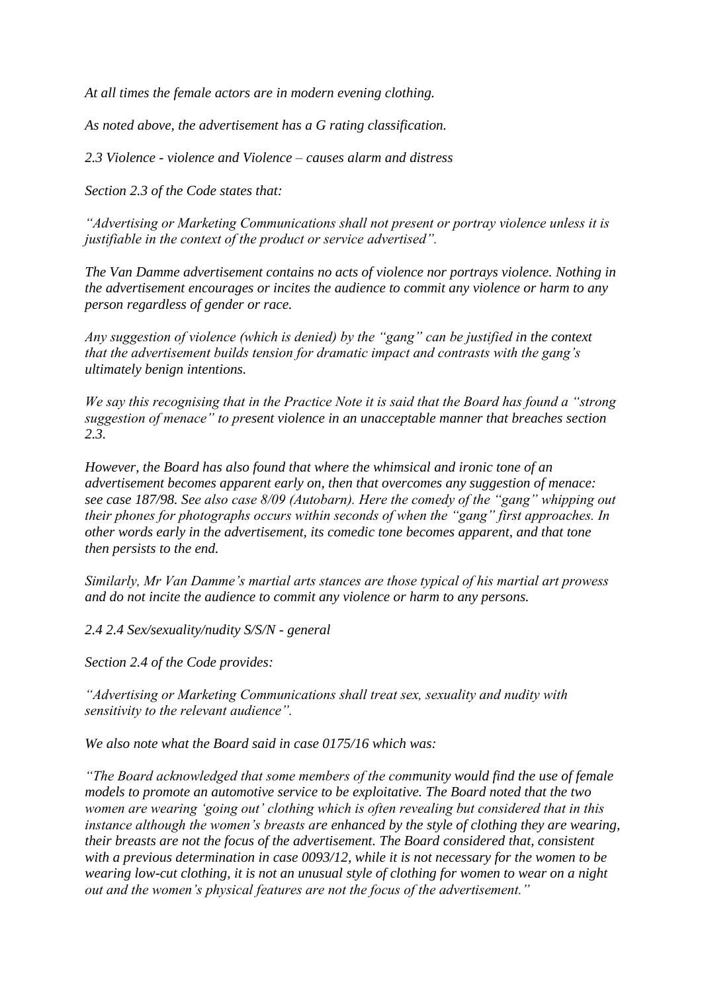*At all times the female actors are in modern evening clothing.*

*As noted above, the advertisement has a G rating classification.*

*2.3 Violence - violence and Violence – causes alarm and distress*

*Section 2.3 of the Code states that:*

*"Advertising or Marketing Communications shall not present or portray violence unless it is justifiable in the context of the product or service advertised".*

*The Van Damme advertisement contains no acts of violence nor portrays violence. Nothing in the advertisement encourages or incites the audience to commit any violence or harm to any person regardless of gender or race.*

*Any suggestion of violence (which is denied) by the "gang" can be justified in the context that the advertisement builds tension for dramatic impact and contrasts with the gang's ultimately benign intentions.*

*We say this recognising that in the Practice Note it is said that the Board has found a "strong suggestion of menace" to present violence in an unacceptable manner that breaches section 2.3.*

*However, the Board has also found that where the whimsical and ironic tone of an advertisement becomes apparent early on, then that overcomes any suggestion of menace: see case 187/98. See also case 8/09 (Autobarn). Here the comedy of the "gang" whipping out their phones for photographs occurs within seconds of when the "gang" first approaches. In other words early in the advertisement, its comedic tone becomes apparent, and that tone then persists to the end.*

*Similarly, Mr Van Damme's martial arts stances are those typical of his martial art prowess and do not incite the audience to commit any violence or harm to any persons.*

*2.4 2.4 Sex/sexuality/nudity S/S/N - general*

*Section 2.4 of the Code provides:*

*"Advertising or Marketing Communications shall treat sex, sexuality and nudity with sensitivity to the relevant audience".*

*We also note what the Board said in case 0175/16 which was:*

*"The Board acknowledged that some members of the community would find the use of female models to promote an automotive service to be exploitative. The Board noted that the two women are wearing 'going out' clothing which is often revealing but considered that in this instance although the women's breasts are enhanced by the style of clothing they are wearing, their breasts are not the focus of the advertisement. The Board considered that, consistent with a previous determination in case 0093/12, while it is not necessary for the women to be wearing low-cut clothing, it is not an unusual style of clothing for women to wear on a night out and the women's physical features are not the focus of the advertisement."*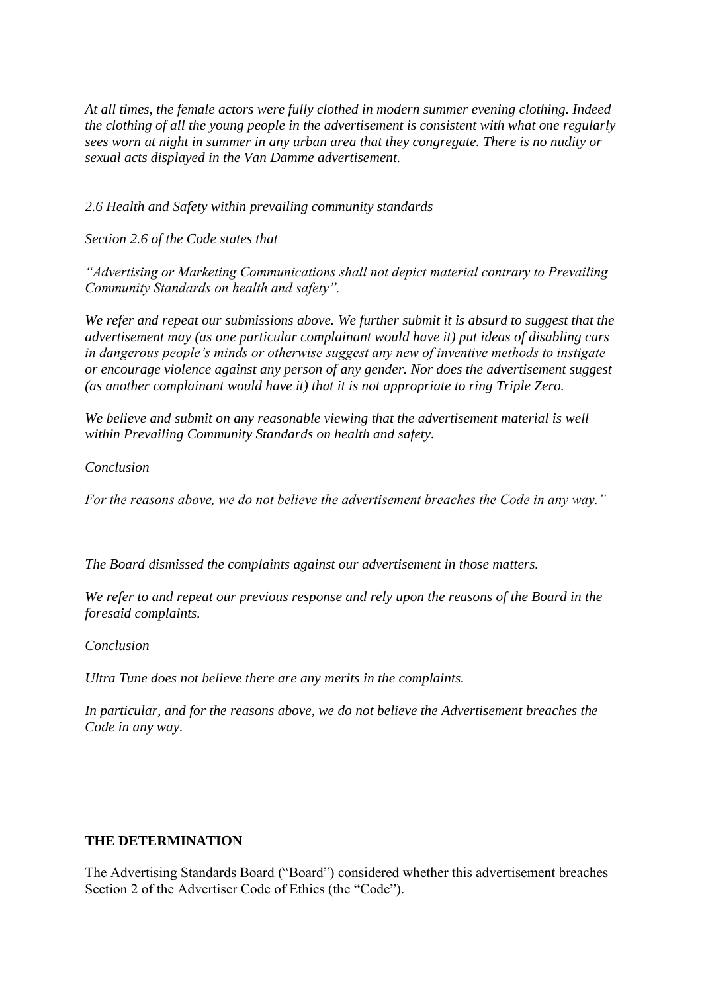*At all times, the female actors were fully clothed in modern summer evening clothing. Indeed the clothing of all the young people in the advertisement is consistent with what one regularly sees worn at night in summer in any urban area that they congregate. There is no nudity or sexual acts displayed in the Van Damme advertisement.*

*2.6 Health and Safety within prevailing community standards*

*Section 2.6 of the Code states that*

*"Advertising or Marketing Communications shall not depict material contrary to Prevailing Community Standards on health and safety".*

*We refer and repeat our submissions above. We further submit it is absurd to suggest that the advertisement may (as one particular complainant would have it) put ideas of disabling cars in dangerous people's minds or otherwise suggest any new of inventive methods to instigate or encourage violence against any person of any gender. Nor does the advertisement suggest (as another complainant would have it) that it is not appropriate to ring Triple Zero.*

*We believe and submit on any reasonable viewing that the advertisement material is well within Prevailing Community Standards on health and safety.*

*Conclusion*

*For the reasons above, we do not believe the advertisement breaches the Code in any way."*

*The Board dismissed the complaints against our advertisement in those matters.*

*We refer to and repeat our previous response and rely upon the reasons of the Board in the foresaid complaints.*

*Conclusion*

*Ultra Tune does not believe there are any merits in the complaints.*

*In particular, and for the reasons above, we do not believe the Advertisement breaches the Code in any way.*

# **THE DETERMINATION**

The Advertising Standards Board ("Board") considered whether this advertisement breaches Section 2 of the Advertiser Code of Ethics (the "Code").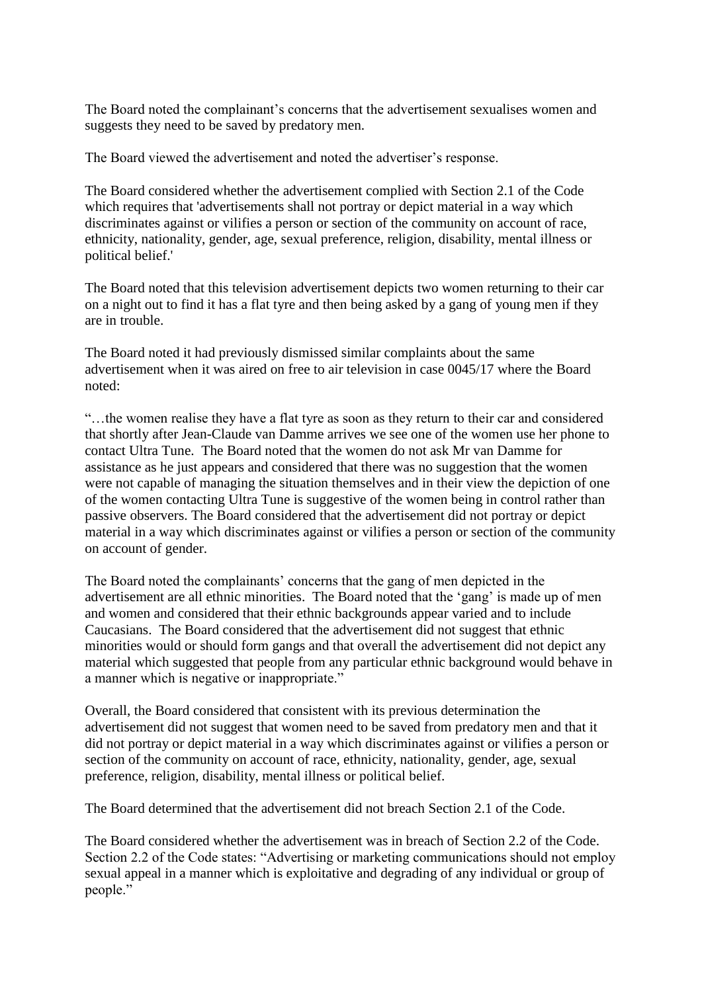The Board noted the complainant's concerns that the advertisement sexualises women and suggests they need to be saved by predatory men.

The Board viewed the advertisement and noted the advertiser's response.

The Board considered whether the advertisement complied with Section 2.1 of the Code which requires that 'advertisements shall not portray or depict material in a way which discriminates against or vilifies a person or section of the community on account of race, ethnicity, nationality, gender, age, sexual preference, religion, disability, mental illness or political belief.'

The Board noted that this television advertisement depicts two women returning to their car on a night out to find it has a flat tyre and then being asked by a gang of young men if they are in trouble.

The Board noted it had previously dismissed similar complaints about the same advertisement when it was aired on free to air television in case 0045/17 where the Board noted:

"…the women realise they have a flat tyre as soon as they return to their car and considered that shortly after Jean-Claude van Damme arrives we see one of the women use her phone to contact Ultra Tune. The Board noted that the women do not ask Mr van Damme for assistance as he just appears and considered that there was no suggestion that the women were not capable of managing the situation themselves and in their view the depiction of one of the women contacting Ultra Tune is suggestive of the women being in control rather than passive observers. The Board considered that the advertisement did not portray or depict material in a way which discriminates against or vilifies a person or section of the community on account of gender.

The Board noted the complainants' concerns that the gang of men depicted in the advertisement are all ethnic minorities. The Board noted that the 'gang' is made up of men and women and considered that their ethnic backgrounds appear varied and to include Caucasians. The Board considered that the advertisement did not suggest that ethnic minorities would or should form gangs and that overall the advertisement did not depict any material which suggested that people from any particular ethnic background would behave in a manner which is negative or inappropriate."

Overall, the Board considered that consistent with its previous determination the advertisement did not suggest that women need to be saved from predatory men and that it did not portray or depict material in a way which discriminates against or vilifies a person or section of the community on account of race, ethnicity, nationality, gender, age, sexual preference, religion, disability, mental illness or political belief.

The Board determined that the advertisement did not breach Section 2.1 of the Code.

The Board considered whether the advertisement was in breach of Section 2.2 of the Code. Section 2.2 of the Code states: "Advertising or marketing communications should not employ sexual appeal in a manner which is exploitative and degrading of any individual or group of people."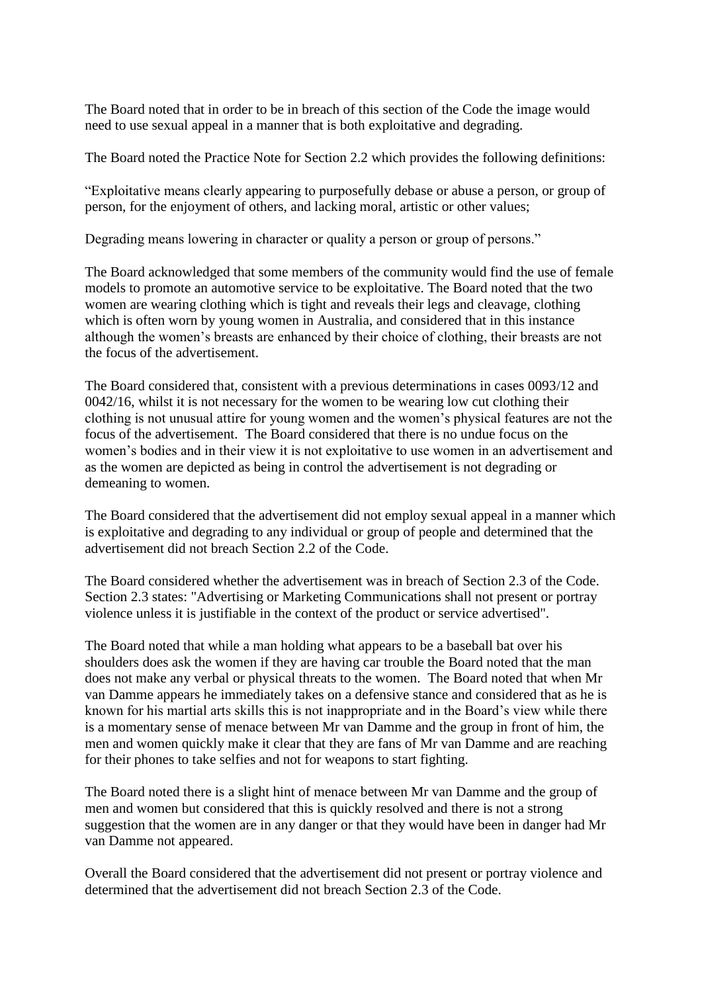The Board noted that in order to be in breach of this section of the Code the image would need to use sexual appeal in a manner that is both exploitative and degrading.

The Board noted the Practice Note for Section 2.2 which provides the following definitions:

"Exploitative means clearly appearing to purposefully debase or abuse a person, or group of person, for the enjoyment of others, and lacking moral, artistic or other values;

Degrading means lowering in character or quality a person or group of persons."

The Board acknowledged that some members of the community would find the use of female models to promote an automotive service to be exploitative. The Board noted that the two women are wearing clothing which is tight and reveals their legs and cleavage, clothing which is often worn by young women in Australia, and considered that in this instance although the women's breasts are enhanced by their choice of clothing, their breasts are not the focus of the advertisement.

The Board considered that, consistent with a previous determinations in cases 0093/12 and 0042/16, whilst it is not necessary for the women to be wearing low cut clothing their clothing is not unusual attire for young women and the women's physical features are not the focus of the advertisement. The Board considered that there is no undue focus on the women's bodies and in their view it is not exploitative to use women in an advertisement and as the women are depicted as being in control the advertisement is not degrading or demeaning to women.

The Board considered that the advertisement did not employ sexual appeal in a manner which is exploitative and degrading to any individual or group of people and determined that the advertisement did not breach Section 2.2 of the Code.

The Board considered whether the advertisement was in breach of Section 2.3 of the Code. Section 2.3 states: "Advertising or Marketing Communications shall not present or portray violence unless it is justifiable in the context of the product or service advertised".

The Board noted that while a man holding what appears to be a baseball bat over his shoulders does ask the women if they are having car trouble the Board noted that the man does not make any verbal or physical threats to the women. The Board noted that when Mr van Damme appears he immediately takes on a defensive stance and considered that as he is known for his martial arts skills this is not inappropriate and in the Board's view while there is a momentary sense of menace between Mr van Damme and the group in front of him, the men and women quickly make it clear that they are fans of Mr van Damme and are reaching for their phones to take selfies and not for weapons to start fighting.

The Board noted there is a slight hint of menace between Mr van Damme and the group of men and women but considered that this is quickly resolved and there is not a strong suggestion that the women are in any danger or that they would have been in danger had Mr van Damme not appeared.

Overall the Board considered that the advertisement did not present or portray violence and determined that the advertisement did not breach Section 2.3 of the Code.